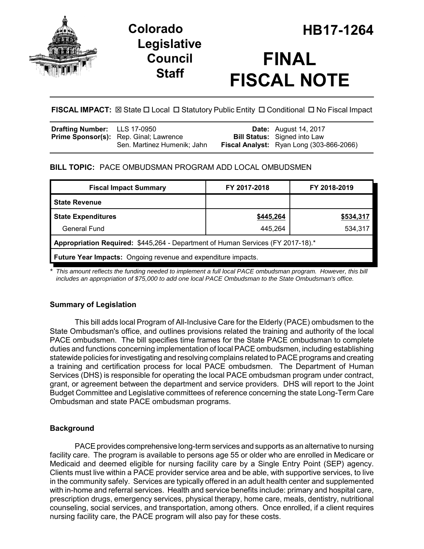

## **Legislative Council Staff**

# **FINAL FISCAL NOTE**

## **FISCAL IMPACT:**  $\boxtimes$  State  $\Box$  Local  $\Box$  Statutory Public Entity  $\Box$  Conditional  $\Box$  No Fiscal Impact

| <b>Drafting Number:</b> LLS 17-0950 |                                               | <b>Date:</b> August 14, 2017             |
|-------------------------------------|-----------------------------------------------|------------------------------------------|
|                                     | <b>Prime Sponsor(s):</b> Rep. Ginal; Lawrence | <b>Bill Status:</b> Signed into Law      |
|                                     | Sen. Martinez Humenik; Jahn                   | Fiscal Analyst: Ryan Long (303-866-2066) |

## **BILL TOPIC:** PACE OMBUDSMAN PROGRAM ADD LOCAL OMBUDSMEN

| <b>Fiscal Impact Summary</b>                                                    | FY 2017-2018 | FY 2018-2019 |  |  |  |
|---------------------------------------------------------------------------------|--------------|--------------|--|--|--|
| <b>State Revenue</b>                                                            |              |              |  |  |  |
| <b>State Expenditures</b>                                                       | \$445,264    | \$534,317    |  |  |  |
| General Fund                                                                    | 445,264      | 534,317      |  |  |  |
| Appropriation Required: \$445,264 - Department of Human Services (FY 2017-18).* |              |              |  |  |  |
| <b>Future Year Impacts:</b> Ongoing revenue and expenditure impacts.            |              |              |  |  |  |

*\* This amount reflects the funding needed to implement a full local PACE ombudsman program. However, this bill includes an appropriation of \$75,000 to add one local PACE Ombudsman to the State Ombudsman's office.* 

## **Summary of Legislation**

This bill adds local Program of All-Inclusive Care for the Elderly (PACE) ombudsmen to the State Ombudsman's office, and outlines provisions related the training and authority of the local PACE ombudsmen. The bill specifies time frames for the State PACE ombudsman to complete duties and functions concerning implementation of local PACE ombudsmen, including establishing statewide policies for investigating and resolving complains related to PACE programs and creating a training and certification process for local PACE ombudsmen. The Department of Human Services (DHS) is responsible for operating the local PACE ombudsman program under contract, grant, or agreement between the department and service providers. DHS will report to the Joint Budget Committee and Legislative committees of reference concerning the state Long-Term Care Ombudsman and state PACE ombudsman programs.

## **Background**

PACE provides comprehensive long-term services and supports as an alternative to nursing facility care. The program is available to persons age 55 or older who are enrolled in Medicare or Medicaid and deemed eligible for nursing facility care by a Single Entry Point (SEP) agency. Clients must live within a PACE provider service area and be able, with supportive services, to live in the community safely. Services are typically offered in an adult health center and supplemented with in-home and referral services. Health and service benefits include: primary and hospital care, prescription drugs, emergency services, physical therapy, home care, meals, dentistry, nutritional counseling, social services, and transportation, among others. Once enrolled, if a client requires nursing facility care, the PACE program will also pay for these costs.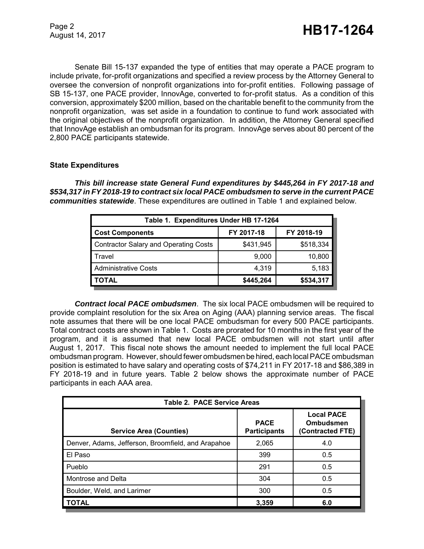Senate Bill 15-137 expanded the type of entities that may operate a PACE program to include private, for-profit organizations and specified a review process by the Attorney General to oversee the conversion of nonprofit organizations into for-profit entities. Following passage of SB 15-137, one PACE provider, InnovAge, converted to for-profit status. As a condition of this conversion, approximately \$200 million, based on the charitable benefit to the community from the nonprofit organization, was set aside in a foundation to continue to fund work associated with the original objectives of the nonprofit organization. In addition, the Attorney General specified that InnovAge establish an ombudsman for its program. InnovAge serves about 80 percent of the 2,800 PACE participants statewide.

#### **State Expenditures**

*This bill increase state General Fund expenditures by \$445,264 in FY 2017-18 and \$534,317 in FY 2018-19 to contract six local PACE ombudsmen to serve in the current PACE communities statewide*. These expenditures are outlined in Table 1 and explained below.

| Table 1. Expenditures Under HB 17-1264 |            |            |  |  |  |
|----------------------------------------|------------|------------|--|--|--|
| <b>Cost Components</b>                 | FY 2017-18 | FY 2018-19 |  |  |  |
| Contractor Salary and Operating Costs  | \$431,945  | \$518,334  |  |  |  |
| Travel                                 | 9,000      | 10,800     |  |  |  |
| <b>Administrative Costs</b>            | 4,319      | 5,183      |  |  |  |
| OTAL                                   | \$445,264  | \$534,317  |  |  |  |

*Contract local PACE ombudsmen*. The six local PACE ombudsmen will be required to provide complaint resolution for the six Area on Aging (AAA) planning service areas. The fiscal note assumes that there will be one local PACE ombudsman for every 500 PACE participants. Total contract costs are shown in Table 1. Costs are prorated for 10 months in the first year of the program, and it is assumed that new local PACE ombudsmen will not start until after August 1, 2017. This fiscal note shows the amount needed to implement the full local PACE ombudsman program. However, should fewer ombudsmen be hired, each local PACE ombudsman position is estimated to have salary and operating costs of \$74,211 in FY 2017-18 and \$86,389 in FY 2018-19 and in future years. Table 2 below shows the approximate number of PACE participants in each AAA area.

| <b>Table 2. PACE Service Areas</b>                 |                                    |                                                    |  |  |  |
|----------------------------------------------------|------------------------------------|----------------------------------------------------|--|--|--|
| <b>Service Area (Counties)</b>                     | <b>PACE</b><br><b>Participants</b> | <b>Local PACE</b><br>Ombudsmen<br>(Contracted FTE) |  |  |  |
| Denver, Adams, Jefferson, Broomfield, and Arapahoe | 2,065                              | 4.0                                                |  |  |  |
| El Paso                                            | 399                                | 0.5                                                |  |  |  |
| Pueblo                                             | 291                                | 0.5                                                |  |  |  |
| Montrose and Delta                                 | 304                                | 0.5                                                |  |  |  |
| Boulder, Weld, and Larimer                         | 300                                | 0.5                                                |  |  |  |
| <b>TOTAL</b>                                       | 3,359                              | 6.0                                                |  |  |  |